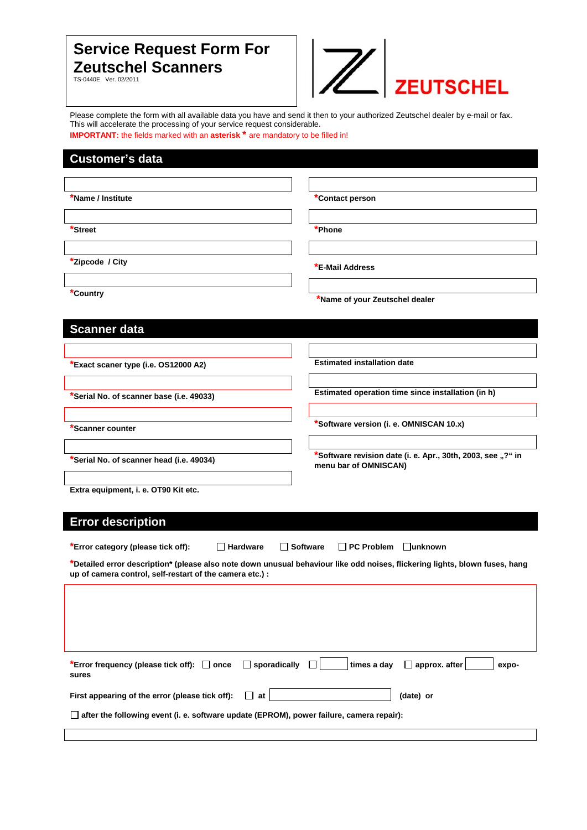# **Service Request Form For Zeutschel Scanners**

TS-0440E Ver. 02/2011



Please complete the form with all available data you have and send it then to your authorized Zeutschel dealer by e-mail or fax. This will accelerate the processing of your service request considerable.

**IMPORTANT:** the fields marked with an **asterisk**<sup>\*</sup> are mandatory to be filled in!

## **Customer's data**

| *Name / Institute                                                                                                           | *Contact person                                             |
|-----------------------------------------------------------------------------------------------------------------------------|-------------------------------------------------------------|
|                                                                                                                             |                                                             |
| <b>Street</b>                                                                                                               | *Phone                                                      |
|                                                                                                                             |                                                             |
| *Zipcode / City                                                                                                             |                                                             |
|                                                                                                                             | *E-Mail Address                                             |
| *Country                                                                                                                    |                                                             |
|                                                                                                                             | *Name of your Zeutschel dealer                              |
| <b>Scanner data</b>                                                                                                         |                                                             |
|                                                                                                                             |                                                             |
|                                                                                                                             |                                                             |
| *Exact scaner type (i.e. OS12000 A2)                                                                                        | <b>Estimated installation date</b>                          |
|                                                                                                                             | Estimated operation time since installation (in h)          |
| *Serial No. of scanner base (i.e. 49033)                                                                                    |                                                             |
|                                                                                                                             | *Software version (i. e. OMNISCAN 10.x)                     |
| *Scanner counter                                                                                                            |                                                             |
|                                                                                                                             | *Software revision date (i. e. Apr., 30th, 2003, see "?" in |
| *Serial No. of scanner head (i.e. 49034)                                                                                    | menu bar of OMNISCAN)                                       |
|                                                                                                                             |                                                             |
| Extra equipment, i. e. OT90 Kit etc.                                                                                        |                                                             |
| <b>Error description</b>                                                                                                    |                                                             |
|                                                                                                                             |                                                             |
| $\Box$ Hardware<br>*Error category (please tick off):<br><b>□ Software</b><br>$\Box$ PC Problem<br><b>□unknown</b>          |                                                             |
| *Detailed error description* (please also note down unusual behaviour like odd noises, flickering lights, blown fuses, hang |                                                             |
| up of camera control, self-restart of the camera etc.) :                                                                    |                                                             |
|                                                                                                                             |                                                             |
|                                                                                                                             |                                                             |
|                                                                                                                             |                                                             |
|                                                                                                                             |                                                             |
| $\Box$ sporadically<br>*Error frequency (please tick off): $\Box$ once<br>sures                                             | times a day<br>$\Box$ approx. after<br>expo-                |
| First appearing of the error (please tick off):<br>П<br>at                                                                  | (date) or                                                   |
| $\Box$ after the following event (i. e. software update (EPROM), power failure, camera repair):                             |                                                             |
|                                                                                                                             |                                                             |